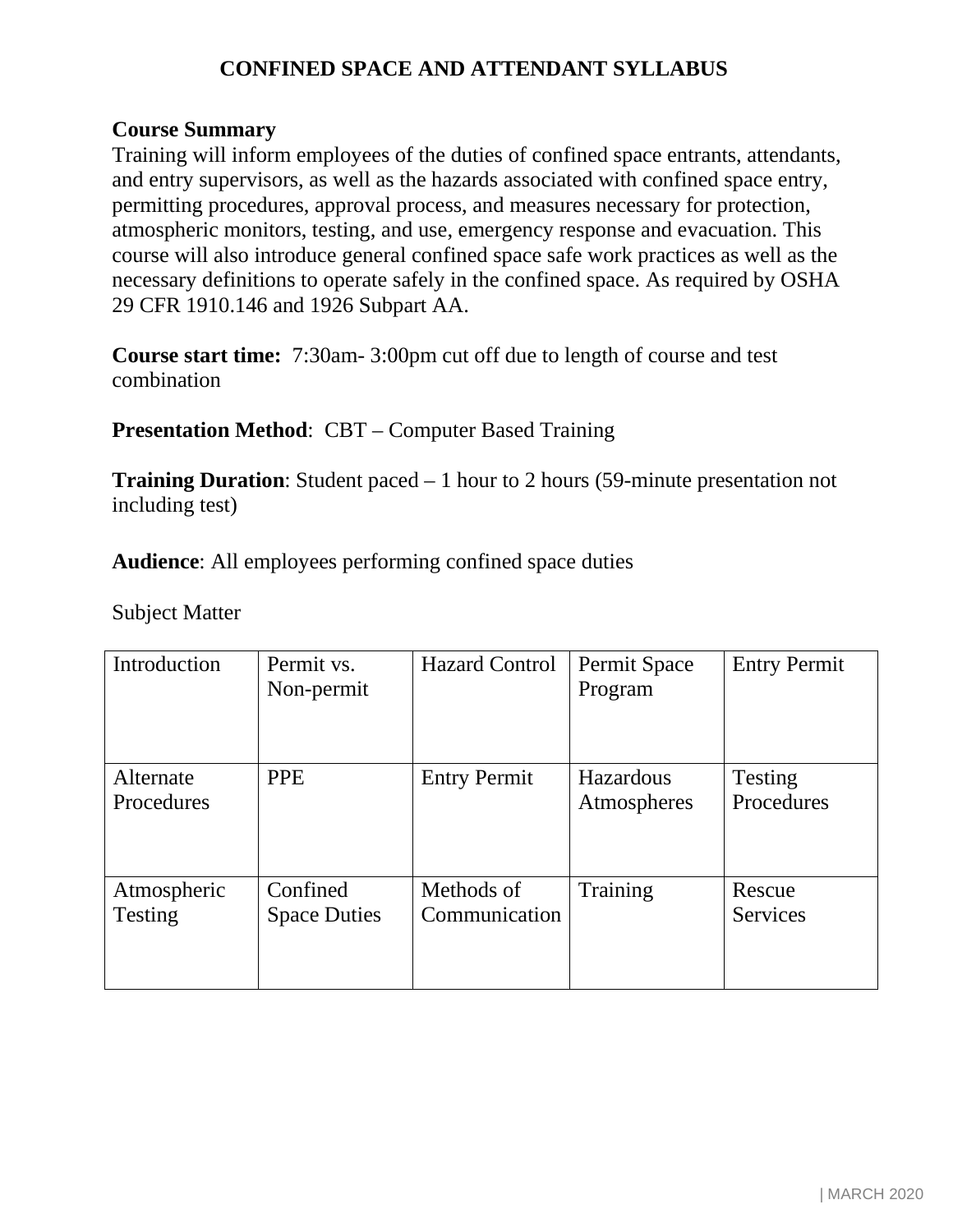## **CONFINED SPACE AND ATTENDANT SYLLABUS**

## **Course Summary**

Training will inform employees of the duties of confined space entrants, attendants, and entry supervisors, as well as the hazards associated with confined space entry, permitting procedures, approval process, and measures necessary for protection, atmospheric monitors, testing, and use, emergency response and evacuation. This course will also introduce general confined space safe work practices as well as the necessary definitions to operate safely in the confined space. As required by OSHA 29 CFR 1910.146 and 1926 Subpart AA.

**Course start time:** 7:30am- 3:00pm cut off due to length of course and test combination

**Presentation Method**: CBT – Computer Based Training

**Training Duration**: Student paced – 1 hour to 2 hours (59-minute presentation not including test)

**Audience**: All employees performing confined space duties

Subject Matter

| Introduction                  | Permit vs.<br>Non-permit        | <b>Hazard Control</b>       | Permit Space<br>Program         | <b>Entry Permit</b>   |
|-------------------------------|---------------------------------|-----------------------------|---------------------------------|-----------------------|
| Alternate<br>Procedures       | <b>PPE</b>                      | <b>Entry Permit</b>         | <b>Hazardous</b><br>Atmospheres | Testing<br>Procedures |
| Atmospheric<br><b>Testing</b> | Confined<br><b>Space Duties</b> | Methods of<br>Communication | Training                        | Rescue<br>Services    |